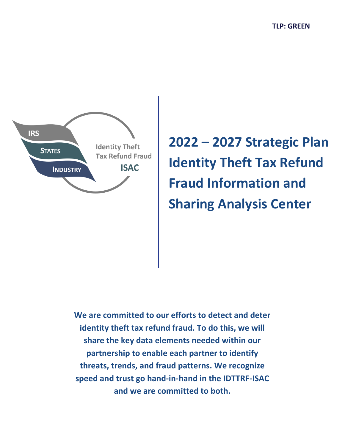

**2022 – 2027 Strategic Plan Identity Theft Tax Refund Fraud Information and Sharing Analysis Center**

**We are committed to our efforts to detect and deter identity theft tax refund fraud. To do this, we will share the key data elements needed within our partnership to enable each partner to identify threats, trends, and fraud patterns. We recognize speed and trust go hand-in-hand in the IDTTRF-ISAC and we are committed to both.**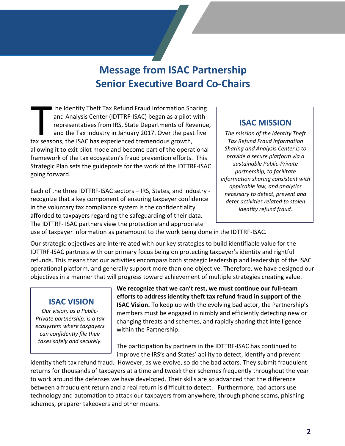# **Message from ISAC Partnership Senior Executive Board Co-Chairs**

he Identity Theft Tax Refund Fraud Information Sharing and Analysis Center (IDTTRF-ISAC) began as a pilot with representatives from IRS, State Departments of Revenue, and the Tax Industry in January 2017. Over the past five tax seasons, the ISAC has experienced tremendous growth, allowing it to exit pilot mode and become part of the operational framework of the tax ecosystem's fraud prevention efforts. This Strategic Plan sets the guideposts for the work of the IDTTRF-ISAC going forward. The Identity Theft Tax Refund Fraud Information Sharing<br>and Analysis Center (IDTTRF-ISAC) began as a pilot with<br>representatives from IRS, State Departments of Revenue,<br>and the Tax Industry in January 2017. Over the past fi

Each of the three IDTTRF-ISAC sectors – IRS, States, and industry recognize that a key component of ensuring taxpayer confidence in the voluntary tax compliance system is the confidentiality afforded to taxpayers regarding the safeguarding of their data. The IDTTRF- ISAC partners view the protection and appropriate

*The mission of the Identity Theft Tax Refund Fraud Information Sharing and Analysis Center is to provide a secure platform via a sustainable Public-Private partnership, to facilitate information sharing consistent with applicable law, and analytics necessary to detect, prevent and deter activities related to stolen identity refund fraud.*

use of taxpayer information as paramount to the work being done in the IDTTRF-ISAC.

Our strategic objectives are interrelated with our key strategies to build identifiable value for the IDTTRF-ISAC partners with our primary focus being on protecting taxpayer's identity and rightful refunds. This means that our activities encompass both strategic leadership and leadership of the ISAC operational platform, and generally support more than one objective. Therefore, we have designed our objectives in a manner that will progress toward achievement of multiple strategies creating value.

### **ISAC VISION**

*Our vision, as a Public-Private partnership, is a tax ecosystem where taxpayers can confidently file their taxes safely and securely.*

**We recognize that we can't rest, we must continue our full-team efforts to address identity theft tax refund fraud in support of the ISAC Vision.** To keep up with the evolving bad actor, the Partnership's members must be engaged in nimbly and efficiently detecting new or changing threats and schemes, and rapidly sharing that intelligence within the Partnership.

The participation by partners in the IDTTRF-ISAC has continued to improve the IRS's and States' ability to detect, identify and prevent

identity theft tax refund fraud. However, as we evolve, so do the bad actors. They submit fraudulent returns for thousands of taxpayers at a time and tweak their schemes frequently throughout the year to work around the defenses we have developed. Their skills are so advanced that the difference between a fraudulent return and a real return is difficult to detect. Furthermore, bad actors use technology and automation to attack our taxpayers from anywhere, through phone scams, phishing schemes, preparer takeovers and other means.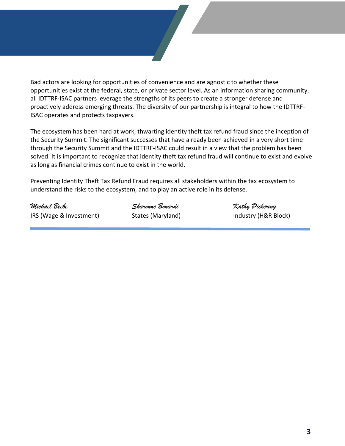Bad actors are looking for opportunities of convenience and are agnostic to whether these opportunities exist at the federal, state, or private sector level. As an information sharing community, all IDTTRF-ISAC partners leverage the strengths of its peers to create a stronger defense and proactively address emerging threats. The diversity of our partnership is integral to how the IDTTRF-ISAC operates and protects taxpayers.

The ecosystem has been hard at work, thwarting identity theft tax refund fraud since the inception of the Security Summit. The significant successes that have already been achieved in a very short time through the Security Summit and the IDTTRF-ISAC could result in a view that the problem has been solved. It is important to recognize that identity theft tax refund fraud will continue to exist and evolve as long as financial crimes continue to exist in the world.

Preventing Identity Theft Tax Refund Fraud requires all stakeholders within the tax ecosystem to understand the risks to the ecosystem, and to play an active role in its defense*.*

*Michael Beebe Sharonne Bonardi Kathy Pickering* IRS (Wage & Investment) States (Maryland) IRS (Wage & Industry (H&R Block)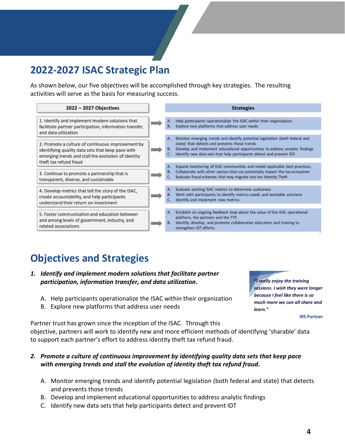# **2022-2027 ISAC Strategic Plan**

As shown below, our five objectives will be accomplished through key strategies. The resulting activities will serve as the basis for measuring success.

| 2022 - 2027 Objectives                                                                                                                                                                  |  |                 | <b>Strategies</b>                                                                                                                                                                                                                                                                      |
|-----------------------------------------------------------------------------------------------------------------------------------------------------------------------------------------|--|-----------------|----------------------------------------------------------------------------------------------------------------------------------------------------------------------------------------------------------------------------------------------------------------------------------------|
| 1. Identify and implement modern solutions that<br>facilitate partner participation, information transfer,<br>and data utilization                                                      |  | А.              | Help participants operationalize the ISAC within their organization.                                                                                                                                                                                                                   |
|                                                                                                                                                                                         |  |                 | Explore new platforms that address user needs                                                                                                                                                                                                                                          |
| 2. Promote a culture of continuous improvement by<br>identifying quality data sets that keep pace with<br>emerging trends and stall the evolution of identity<br>theft tax refund fraud |  | А.              | Monitor emerging trends and identify potential legislation (both federal and<br>state) that detects and prevents those trends<br>Develop and implement educational opportunities to address analytic findings<br>Identify new data sets that help participants detect and prevent IDT. |
| 3. Continue to promote a partnership that is<br>transparent, diverse, and sustainable                                                                                                   |  | А.              | Expand monitoring of ISAC communities and model applicable best practices.<br>Collaborate with other sectors that can potentially impact the tax ecosystem<br>Evaluate fraud schemes that may migrate into tax Identity Theft                                                          |
| 4. Develop metrics that tell the story of the ISAC,<br>create accountability, and help participants<br>understand their return on investment                                            |  | А.              | Evaluate existing ISAC metrics to determine usefulness<br>Work with participants to identify metrics needs and workable solutions<br>Identify and implement new metrics                                                                                                                |
| 5. Foster communication and education between<br>and among levels of government, industry, and<br>related associations                                                                  |  | А.<br><b>B.</b> | Establish an ongoing feedback loop about the value of the ISAC operational<br>platform, the partners and the TTP.<br>Identify, develop, and promote collaborative education and training to<br>strengthen IDT efforts.                                                                 |

### **Objectives and Strategies**

- *1. Identify and implement modern solutions that facilitate partner participation, information transfer, and data utilization.*
	- A. Help participants operationalize the ISAC within their organization
	- B. Explore new platforms that address user needs

*"I really enjoy the training sessions. I wish they were longer because I feel like there is so much more we can all share and learn."*

**IRS Partner**

Partner trust has grown since the inception of the ISAC. Through this objective, partners will work to identify new and more efficient methods of identifying 'sharable' data to support each partner's effort to address identity theft tax refund fraud.

#### *2. Promote a culture of continuous improvement by identifying quality data sets that keep pace with emerging trends and stall the evolution of identity theft tax refund fraud.*

- A. Monitor emerging trends and identify potential legislation (both federal and state) that detects and prevents those trends
- B. Develop and implement educational opportunities to address analytic findings
- C. Identify new data sets that help participants detect and prevent IDT